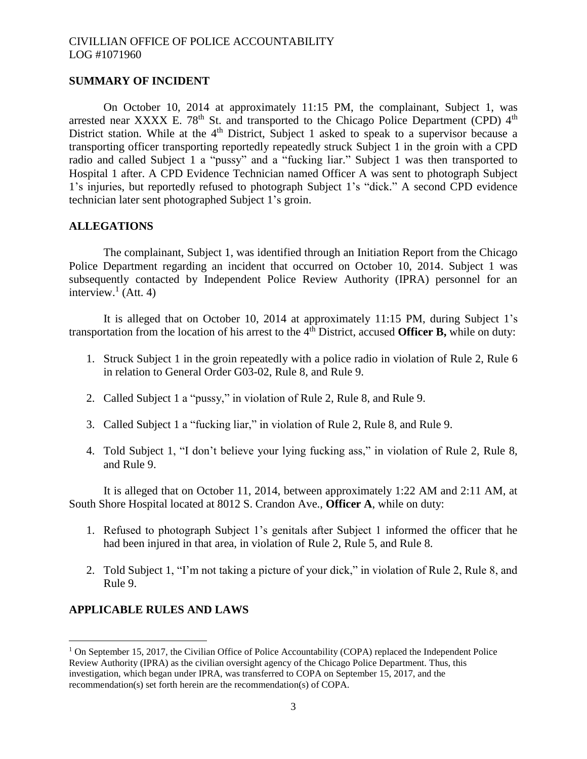## **SUMMARY OF INCIDENT**

On October 10, 2014 at approximately 11:15 PM, the complainant, Subject 1, was arrested near XXXX E. 78<sup>th</sup> St. and transported to the Chicago Police Department (CPD)  $4<sup>th</sup>$ District station. While at the 4<sup>th</sup> District, Subject 1 asked to speak to a supervisor because a transporting officer transporting reportedly repeatedly struck Subject 1 in the groin with a CPD radio and called Subject 1 a "pussy" and a "fucking liar." Subject 1 was then transported to Hospital 1 after. A CPD Evidence Technician named Officer A was sent to photograph Subject 1's injuries, but reportedly refused to photograph Subject 1's "dick." A second CPD evidence technician later sent photographed Subject 1's groin.

## **ALLEGATIONS**

The complainant, Subject 1, was identified through an Initiation Report from the Chicago Police Department regarding an incident that occurred on October 10, 2014. Subject 1 was subsequently contacted by Independent Police Review Authority (IPRA) personnel for an interview. $<sup>1</sup>$  (Att. 4)</sup>

It is alleged that on October 10, 2014 at approximately 11:15 PM, during Subject 1's transportation from the location of his arrest to the 4<sup>th</sup> District, accused **Officer B**, while on duty:

- 1. Struck Subject 1 in the groin repeatedly with a police radio in violation of Rule 2, Rule 6 in relation to General Order G03-02, Rule 8, and Rule 9.
- 2. Called Subject 1 a "pussy," in violation of Rule 2, Rule 8, and Rule 9.
- 3. Called Subject 1 a "fucking liar," in violation of Rule 2, Rule 8, and Rule 9.
- 4. Told Subject 1, "I don't believe your lying fucking ass," in violation of Rule 2, Rule 8, and Rule 9.

It is alleged that on October 11, 2014, between approximately 1:22 AM and 2:11 AM, at South Shore Hospital located at 8012 S. Crandon Ave., **Officer A**, while on duty:

- 1. Refused to photograph Subject 1's genitals after Subject 1 informed the officer that he had been injured in that area, in violation of Rule 2, Rule 5, and Rule 8.
- 2. Told Subject 1, "I'm not taking a picture of your dick," in violation of Rule 2, Rule 8, and Rule 9.

## **APPLICABLE RULES AND LAWS**

 $\overline{a}$ 

 $1$  On September 15, 2017, the Civilian Office of Police Accountability (COPA) replaced the Independent Police Review Authority (IPRA) as the civilian oversight agency of the Chicago Police Department. Thus, this investigation, which began under IPRA, was transferred to COPA on September 15, 2017, and the recommendation(s) set forth herein are the recommendation(s) of COPA.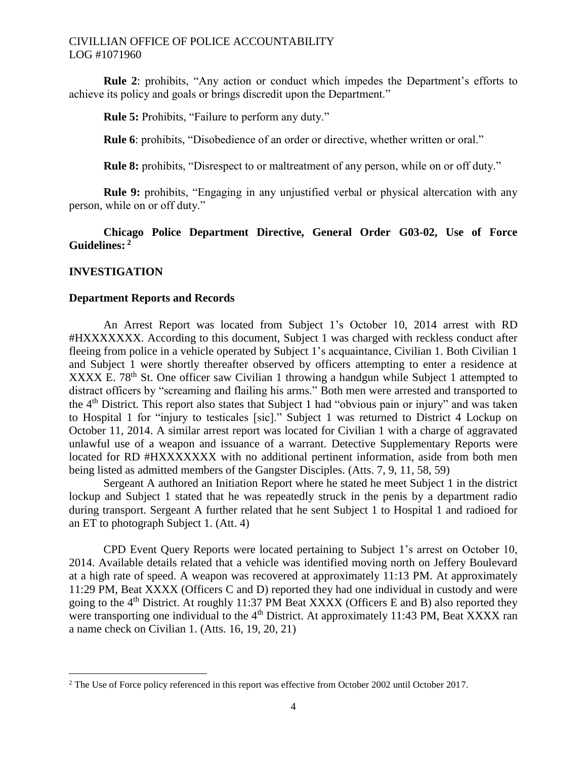**Rule 2**: prohibits, "Any action or conduct which impedes the Department's efforts to achieve its policy and goals or brings discredit upon the Department."

**Rule 5:** Prohibits, "Failure to perform any duty."

**Rule 6**: prohibits, "Disobedience of an order or directive, whether written or oral."

**Rule 8:** prohibits, "Disrespect to or maltreatment of any person, while on or off duty."

**Rule 9:** prohibits, "Engaging in any unjustified verbal or physical altercation with any person, while on or off duty."

# **Chicago Police Department Directive, General Order G03-02, Use of Force Guidelines: 2**

## **INVESTIGATION**

 $\overline{\phantom{a}}$ 

## **Department Reports and Records**

An Arrest Report was located from Subject 1's October 10, 2014 arrest with RD #HXXXXXXX. According to this document, Subject 1 was charged with reckless conduct after fleeing from police in a vehicle operated by Subject 1's acquaintance, Civilian 1. Both Civilian 1 and Subject 1 were shortly thereafter observed by officers attempting to enter a residence at XXXX E. 78<sup>th</sup> St. One officer saw Civilian 1 throwing a handgun while Subject 1 attempted to distract officers by "screaming and flailing his arms." Both men were arrested and transported to the 4th District. This report also states that Subject 1 had "obvious pain or injury" and was taken to Hospital 1 for "injury to testicales [sic]." Subject 1 was returned to District 4 Lockup on October 11, 2014. A similar arrest report was located for Civilian 1 with a charge of aggravated unlawful use of a weapon and issuance of a warrant. Detective Supplementary Reports were located for RD #HXXXXXXX with no additional pertinent information, aside from both men being listed as admitted members of the Gangster Disciples. (Atts. 7, 9, 11, 58, 59)

Sergeant A authored an Initiation Report where he stated he meet Subject 1 in the district lockup and Subject 1 stated that he was repeatedly struck in the penis by a department radio during transport. Sergeant A further related that he sent Subject 1 to Hospital 1 and radioed for an ET to photograph Subject 1. (Att. 4)

CPD Event Query Reports were located pertaining to Subject 1's arrest on October 10, 2014. Available details related that a vehicle was identified moving north on Jeffery Boulevard at a high rate of speed. A weapon was recovered at approximately 11:13 PM. At approximately 11:29 PM, Beat XXXX (Officers C and D) reported they had one individual in custody and were going to the 4th District. At roughly 11:37 PM Beat XXXX (Officers E and B) also reported they were transporting one individual to the  $4<sup>th</sup>$  District. At approximately 11:43 PM, Beat XXXX ran a name check on Civilian 1. (Atts. 16, 19, 20, 21)

<sup>&</sup>lt;sup>2</sup> The Use of Force policy referenced in this report was effective from October 2002 until October 2017.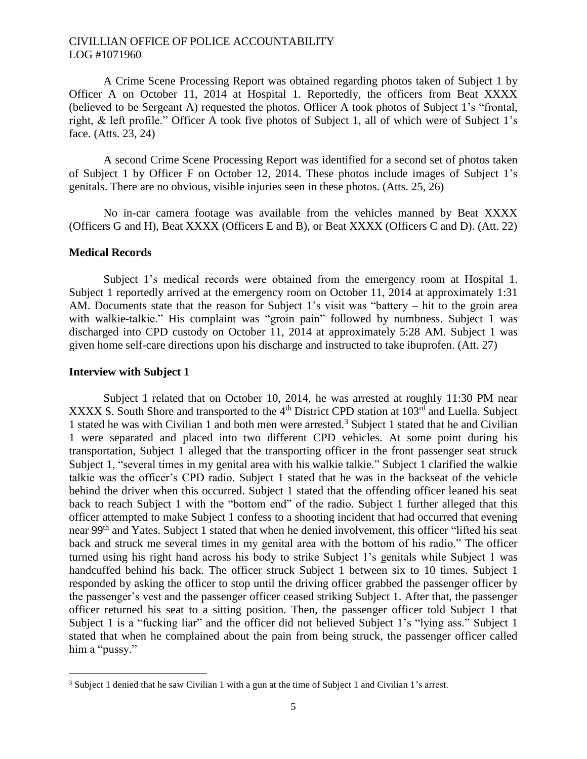A Crime Scene Processing Report was obtained regarding photos taken of Subject 1 by Officer A on October 11, 2014 at Hospital 1. Reportedly, the officers from Beat XXXX (believed to be Sergeant A) requested the photos. Officer A took photos of Subject 1's "frontal, right, & left profile." Officer A took five photos of Subject 1, all of which were of Subject 1's face. (Atts. 23, 24)

A second Crime Scene Processing Report was identified for a second set of photos taken of Subject 1 by Officer F on October 12, 2014. These photos include images of Subject 1's genitals. There are no obvious, visible injuries seen in these photos. (Atts. 25, 26)

No in-car camera footage was available from the vehicles manned by Beat XXXX (Officers G and H), Beat XXXX (Officers E and B), or Beat XXXX (Officers C and D). (Att. 22)

## **Medical Records**

Subject 1's medical records were obtained from the emergency room at Hospital 1. Subject 1 reportedly arrived at the emergency room on October 11, 2014 at approximately 1:31 AM. Documents state that the reason for Subject 1's visit was "battery – hit to the groin area with walkie-talkie." His complaint was "groin pain" followed by numbness. Subject 1 was discharged into CPD custody on October 11, 2014 at approximately 5:28 AM. Subject 1 was given home self-care directions upon his discharge and instructed to take ibuprofen. (Att. 27)

#### **Interview with Subject 1**

 $\overline{\phantom{a}}$ 

Subject 1 related that on October 10, 2014, he was arrested at roughly 11:30 PM near XXXX S. South Shore and transported to the  $4<sup>th</sup>$  District CPD station at  $103<sup>rd</sup>$  and Luella. Subject 1 stated he was with Civilian 1 and both men were arrested.<sup>3</sup> Subject 1 stated that he and Civilian 1 were separated and placed into two different CPD vehicles. At some point during his transportation, Subject 1 alleged that the transporting officer in the front passenger seat struck Subject 1, "several times in my genital area with his walkie talkie." Subject 1 clarified the walkie talkie was the officer's CPD radio. Subject 1 stated that he was in the backseat of the vehicle behind the driver when this occurred. Subject 1 stated that the offending officer leaned his seat back to reach Subject 1 with the "bottom end" of the radio. Subject 1 further alleged that this officer attempted to make Subject 1 confess to a shooting incident that had occurred that evening near 99th and Yates. Subject 1 stated that when he denied involvement, this officer "lifted his seat back and struck me several times in my genital area with the bottom of his radio." The officer turned using his right hand across his body to strike Subject 1's genitals while Subject 1 was handcuffed behind his back. The officer struck Subject 1 between six to 10 times. Subject 1 responded by asking the officer to stop until the driving officer grabbed the passenger officer by the passenger's vest and the passenger officer ceased striking Subject 1. After that, the passenger officer returned his seat to a sitting position. Then, the passenger officer told Subject 1 that Subject 1 is a "fucking liar" and the officer did not believed Subject 1's "lying ass." Subject 1 stated that when he complained about the pain from being struck, the passenger officer called him a "pussy."

<sup>3</sup> Subject 1 denied that he saw Civilian 1 with a gun at the time of Subject 1 and Civilian 1's arrest.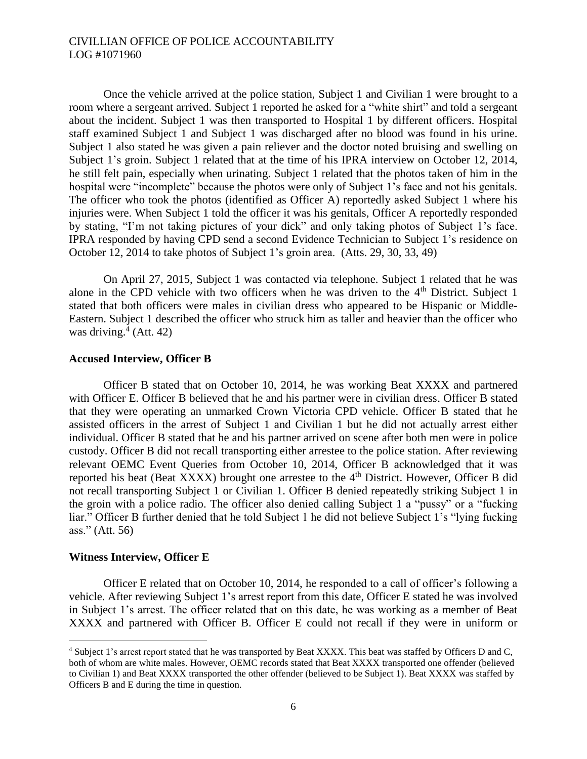Once the vehicle arrived at the police station, Subject 1 and Civilian 1 were brought to a room where a sergeant arrived. Subject 1 reported he asked for a "white shirt" and told a sergeant about the incident. Subject 1 was then transported to Hospital 1 by different officers. Hospital staff examined Subject 1 and Subject 1 was discharged after no blood was found in his urine. Subject 1 also stated he was given a pain reliever and the doctor noted bruising and swelling on Subject 1's groin. Subject 1 related that at the time of his IPRA interview on October 12, 2014, he still felt pain, especially when urinating. Subject 1 related that the photos taken of him in the hospital were "incomplete" because the photos were only of Subject 1's face and not his genitals. The officer who took the photos (identified as Officer A) reportedly asked Subject 1 where his injuries were. When Subject 1 told the officer it was his genitals, Officer A reportedly responded by stating, "I'm not taking pictures of your dick" and only taking photos of Subject 1's face. IPRA responded by having CPD send a second Evidence Technician to Subject 1's residence on October 12, 2014 to take photos of Subject 1's groin area. (Atts. 29, 30, 33, 49)

On April 27, 2015, Subject 1 was contacted via telephone. Subject 1 related that he was alone in the CPD vehicle with two officers when he was driven to the  $4<sup>th</sup>$  District. Subject 1 stated that both officers were males in civilian dress who appeared to be Hispanic or Middle-Eastern. Subject 1 described the officer who struck him as taller and heavier than the officer who was driving. $4$  (Att. 42)

## **Accused Interview, Officer B**

Officer B stated that on October 10, 2014, he was working Beat XXXX and partnered with Officer E. Officer B believed that he and his partner were in civilian dress. Officer B stated that they were operating an unmarked Crown Victoria CPD vehicle. Officer B stated that he assisted officers in the arrest of Subject 1 and Civilian 1 but he did not actually arrest either individual. Officer B stated that he and his partner arrived on scene after both men were in police custody. Officer B did not recall transporting either arrestee to the police station. After reviewing relevant OEMC Event Queries from October 10, 2014, Officer B acknowledged that it was reported his beat (Beat XXXX) brought one arrestee to the  $4<sup>th</sup>$  District. However, Officer B did not recall transporting Subject 1 or Civilian 1. Officer B denied repeatedly striking Subject 1 in the groin with a police radio. The officer also denied calling Subject 1 a "pussy" or a "fucking liar." Officer B further denied that he told Subject 1 he did not believe Subject 1's "lying fucking ass." (Att. 56)

#### **Witness Interview, Officer E**

 $\overline{a}$ 

Officer E related that on October 10, 2014, he responded to a call of officer's following a vehicle. After reviewing Subject 1's arrest report from this date, Officer E stated he was involved in Subject 1's arrest. The officer related that on this date, he was working as a member of Beat XXXX and partnered with Officer B. Officer E could not recall if they were in uniform or

<sup>4</sup> Subject 1's arrest report stated that he was transported by Beat XXXX. This beat was staffed by Officers D and C, both of whom are white males. However, OEMC records stated that Beat XXXX transported one offender (believed to Civilian 1) and Beat XXXX transported the other offender (believed to be Subject 1). Beat XXXX was staffed by Officers B and E during the time in question.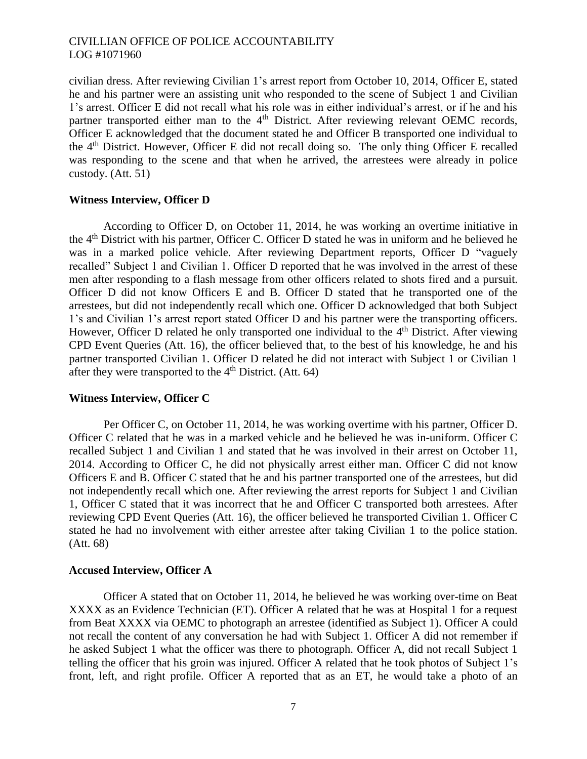civilian dress. After reviewing Civilian 1's arrest report from October 10, 2014, Officer E, stated he and his partner were an assisting unit who responded to the scene of Subject 1 and Civilian 1's arrest. Officer E did not recall what his role was in either individual's arrest, or if he and his partner transported either man to the 4<sup>th</sup> District. After reviewing relevant OEMC records, Officer E acknowledged that the document stated he and Officer B transported one individual to the 4th District. However, Officer E did not recall doing so. The only thing Officer E recalled was responding to the scene and that when he arrived, the arrestees were already in police custody. (Att. 51)

#### **Witness Interview, Officer D**

According to Officer D, on October 11, 2014, he was working an overtime initiative in the 4th District with his partner, Officer C. Officer D stated he was in uniform and he believed he was in a marked police vehicle. After reviewing Department reports, Officer D "vaguely recalled" Subject 1 and Civilian 1. Officer D reported that he was involved in the arrest of these men after responding to a flash message from other officers related to shots fired and a pursuit. Officer D did not know Officers E and B. Officer D stated that he transported one of the arrestees, but did not independently recall which one. Officer D acknowledged that both Subject 1's and Civilian 1's arrest report stated Officer D and his partner were the transporting officers. However, Officer D related he only transported one individual to the 4<sup>th</sup> District. After viewing CPD Event Queries (Att. 16), the officer believed that, to the best of his knowledge, he and his partner transported Civilian 1. Officer D related he did not interact with Subject 1 or Civilian 1 after they were transported to the  $4<sup>th</sup>$  District. (Att. 64)

#### **Witness Interview, Officer C**

Per Officer C, on October 11, 2014, he was working overtime with his partner, Officer D. Officer C related that he was in a marked vehicle and he believed he was in-uniform. Officer C recalled Subject 1 and Civilian 1 and stated that he was involved in their arrest on October 11, 2014. According to Officer C, he did not physically arrest either man. Officer C did not know Officers E and B. Officer C stated that he and his partner transported one of the arrestees, but did not independently recall which one. After reviewing the arrest reports for Subject 1 and Civilian 1, Officer C stated that it was incorrect that he and Officer C transported both arrestees. After reviewing CPD Event Queries (Att. 16), the officer believed he transported Civilian 1. Officer C stated he had no involvement with either arrestee after taking Civilian 1 to the police station. (Att. 68)

### **Accused Interview, Officer A**

Officer A stated that on October 11, 2014, he believed he was working over-time on Beat XXXX as an Evidence Technician (ET). Officer A related that he was at Hospital 1 for a request from Beat XXXX via OEMC to photograph an arrestee (identified as Subject 1). Officer A could not recall the content of any conversation he had with Subject 1. Officer A did not remember if he asked Subject 1 what the officer was there to photograph. Officer A, did not recall Subject 1 telling the officer that his groin was injured. Officer A related that he took photos of Subject 1's front, left, and right profile. Officer A reported that as an ET, he would take a photo of an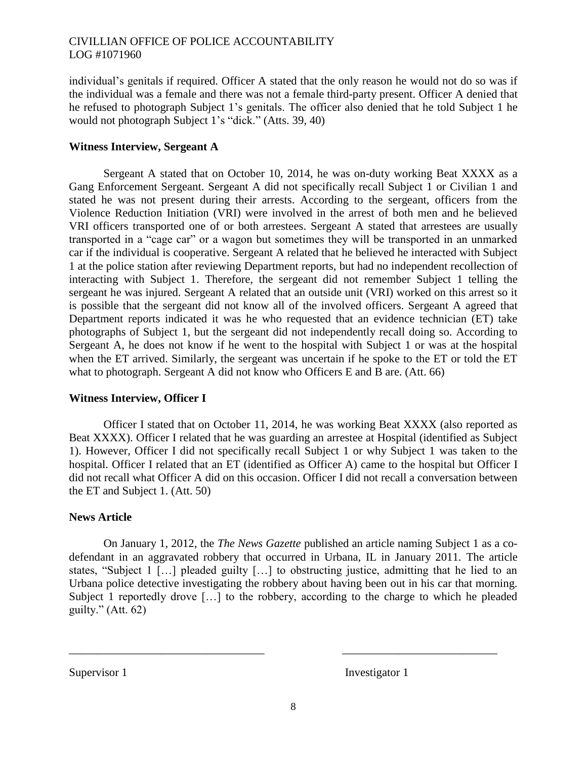individual's genitals if required. Officer A stated that the only reason he would not do so was if the individual was a female and there was not a female third-party present. Officer A denied that he refused to photograph Subject 1's genitals. The officer also denied that he told Subject 1 he would not photograph Subject 1's "dick." (Atts. 39, 40)

## **Witness Interview, Sergeant A**

Sergeant A stated that on October 10, 2014, he was on-duty working Beat XXXX as a Gang Enforcement Sergeant. Sergeant A did not specifically recall Subject 1 or Civilian 1 and stated he was not present during their arrests. According to the sergeant, officers from the Violence Reduction Initiation (VRI) were involved in the arrest of both men and he believed VRI officers transported one of or both arrestees. Sergeant A stated that arrestees are usually transported in a "cage car" or a wagon but sometimes they will be transported in an unmarked car if the individual is cooperative. Sergeant A related that he believed he interacted with Subject 1 at the police station after reviewing Department reports, but had no independent recollection of interacting with Subject 1. Therefore, the sergeant did not remember Subject 1 telling the sergeant he was injured. Sergeant A related that an outside unit (VRI) worked on this arrest so it is possible that the sergeant did not know all of the involved officers. Sergeant A agreed that Department reports indicated it was he who requested that an evidence technician (ET) take photographs of Subject 1, but the sergeant did not independently recall doing so. According to Sergeant A, he does not know if he went to the hospital with Subject 1 or was at the hospital when the ET arrived. Similarly, the sergeant was uncertain if he spoke to the ET or told the ET what to photograph. Sergeant A did not know who Officers E and B are. (Att. 66)

## **Witness Interview, Officer I**

Officer I stated that on October 11, 2014, he was working Beat XXXX (also reported as Beat XXXX). Officer I related that he was guarding an arrestee at Hospital (identified as Subject 1). However, Officer I did not specifically recall Subject 1 or why Subject 1 was taken to the hospital. Officer I related that an ET (identified as Officer A) came to the hospital but Officer I did not recall what Officer A did on this occasion. Officer I did not recall a conversation between the ET and Subject 1. (Att. 50)

## **News Article**

On January 1, 2012, the *The News Gazette* published an article naming Subject 1 as a codefendant in an aggravated robbery that occurred in Urbana, IL in January 2011. The article states, "Subject 1 […] pleaded guilty […] to obstructing justice, admitting that he lied to an Urbana police detective investigating the robbery about having been out in his car that morning. Subject 1 reportedly drove […] to the robbery, according to the charge to which he pleaded guilty."  $(Att. 62)$ 

Supervisor 1 Investigator 1

\_\_\_\_\_\_\_\_\_\_\_\_\_\_\_\_\_\_\_\_\_\_\_\_\_\_\_\_\_\_\_\_\_\_ \_\_\_\_\_\_\_\_\_\_\_\_\_\_\_\_\_\_\_\_\_\_\_\_\_\_\_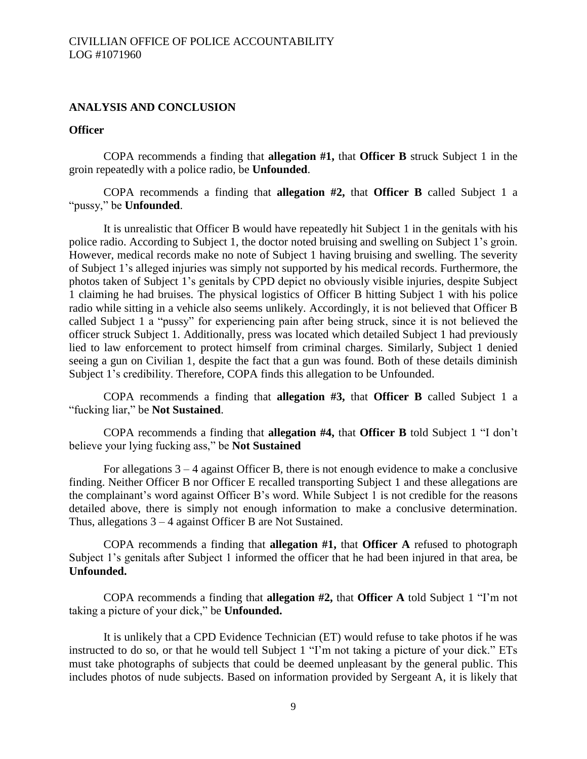### **ANALYSIS AND CONCLUSION**

#### **Officer**

COPA recommends a finding that **allegation #1,** that **Officer B** struck Subject 1 in the groin repeatedly with a police radio, be **Unfounded**.

COPA recommends a finding that **allegation #2,** that **Officer B** called Subject 1 a "pussy," be **Unfounded**.

It is unrealistic that Officer B would have repeatedly hit Subject 1 in the genitals with his police radio. According to Subject 1, the doctor noted bruising and swelling on Subject 1's groin. However, medical records make no note of Subject 1 having bruising and swelling. The severity of Subject 1's alleged injuries was simply not supported by his medical records. Furthermore, the photos taken of Subject 1's genitals by CPD depict no obviously visible injuries, despite Subject 1 claiming he had bruises. The physical logistics of Officer B hitting Subject 1 with his police radio while sitting in a vehicle also seems unlikely. Accordingly, it is not believed that Officer B called Subject 1 a "pussy" for experiencing pain after being struck, since it is not believed the officer struck Subject 1. Additionally, press was located which detailed Subject 1 had previously lied to law enforcement to protect himself from criminal charges. Similarly, Subject 1 denied seeing a gun on Civilian 1, despite the fact that a gun was found. Both of these details diminish Subject 1's credibility. Therefore, COPA finds this allegation to be Unfounded.

COPA recommends a finding that **allegation #3,** that **Officer B** called Subject 1 a "fucking liar," be **Not Sustained**.

COPA recommends a finding that **allegation #4,** that **Officer B** told Subject 1 "I don't believe your lying fucking ass," be **Not Sustained**

For allegations 3 – 4 against Officer B, there is not enough evidence to make a conclusive finding. Neither Officer B nor Officer E recalled transporting Subject 1 and these allegations are the complainant's word against Officer B's word. While Subject 1 is not credible for the reasons detailed above, there is simply not enough information to make a conclusive determination. Thus, allegations 3 – 4 against Officer B are Not Sustained.

COPA recommends a finding that **allegation #1,** that **Officer A** refused to photograph Subject 1's genitals after Subject 1 informed the officer that he had been injured in that area, be **Unfounded.**

COPA recommends a finding that **allegation #2,** that **Officer A** told Subject 1 "I'm not taking a picture of your dick," be **Unfounded.**

It is unlikely that a CPD Evidence Technician (ET) would refuse to take photos if he was instructed to do so, or that he would tell Subject 1 "I'm not taking a picture of your dick." ETs must take photographs of subjects that could be deemed unpleasant by the general public. This includes photos of nude subjects. Based on information provided by Sergeant A, it is likely that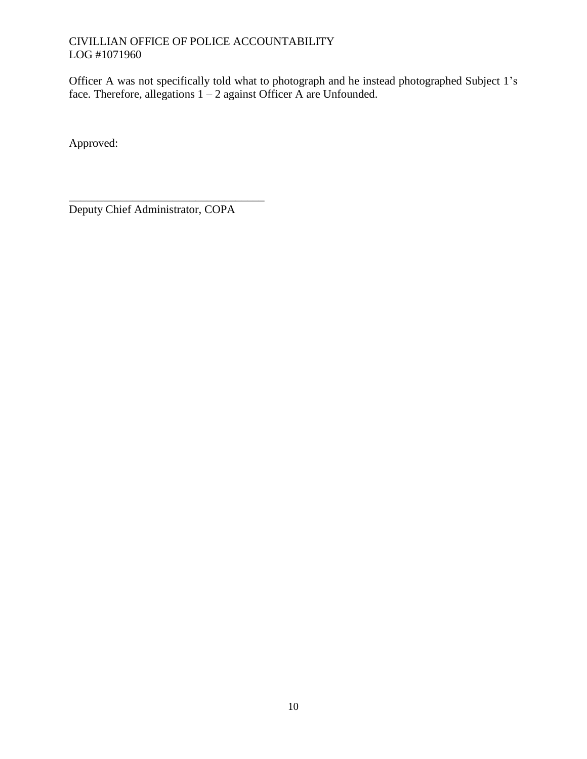Officer A was not specifically told what to photograph and he instead photographed Subject 1's face. Therefore, allegations  $1 - 2$  against Officer A are Unfounded.

Approved:

Deputy Chief Administrator, COPA

\_\_\_\_\_\_\_\_\_\_\_\_\_\_\_\_\_\_\_\_\_\_\_\_\_\_\_\_\_\_\_\_\_\_